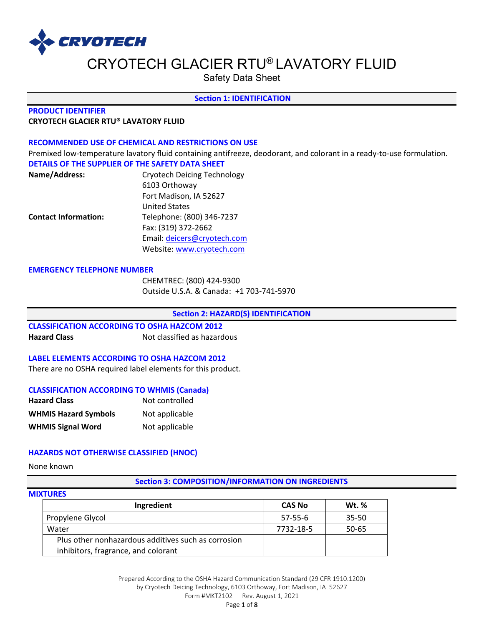

Safety Data Sheet

### **Section 1: IDENTIFICATION**

### **PRODUCT IDENTIFIER CRYOTECH GLACIER RTU® LAVATORY FLUID**

### **RECOMMENDED USE OF CHEMICAL AND RESTRICTIONS ON USE**

Premixed low-temperature lavatory fluid containing antifreeze, deodorant, and colorant in a ready-to-use formulation. **DETAILS OF THE SUPPLIER OF THE SAFETY DATA SHEET**

| Name/Address:               | <b>Cryotech Deicing Technology</b> |
|-----------------------------|------------------------------------|
|                             | 6103 Orthoway                      |
|                             | Fort Madison, IA 52627             |
|                             | <b>United States</b>               |
| <b>Contact Information:</b> | Telephone: (800) 346-7237          |
|                             | Fax: (319) 372-2662                |
|                             | Email: deicers@cryotech.com        |
|                             | Website: www.cryotech.com          |

#### **EMERGENCY TELEPHONE NUMBER**

CHEMTREC: (800) 424-9300 Outside U.S.A. & Canada: +1 703-741-5970

**Section 2: HAZARD(S) IDENTIFICATION** 

## **CLASSIFICATION ACCORDING TO OSHA HAZCOM 2012**

**Hazard Class** Not classified as hazardous

### **LABEL ELEMENTS ACCORDING TO OSHA HAZCOM 2012**

There are no OSHA required label elements for this product.

### **CLASSIFICATION ACCORDING TO WHMIS (Canada)**

| <b>Hazard Class</b>         | Not controlled |
|-----------------------------|----------------|
| <b>WHMIS Hazard Symbols</b> | Not applicable |
| <b>WHMIS Signal Word</b>    | Not applicable |

### **HAZARDS NOT OTHERWISE CLASSIFIED (HNOC)**

None known

#### **Section 3: COMPOSITION/INFORMATION ON INGREDIENTS**

## **MIXTURES**

| Ingredient                                                                                 | <b>CAS No</b> | <b>Wt.</b> % |
|--------------------------------------------------------------------------------------------|---------------|--------------|
| Propylene Glycol                                                                           | $57 - 55 - 6$ | $35 - 50$    |
| Water                                                                                      | 7732-18-5     | $50 - 65$    |
| Plus other nonhazardous additives such as corrosion<br>inhibitors, fragrance, and colorant |               |              |

Prepared According to the OSHA Hazard Communication Standard (29 CFR 1910.1200) by Cryotech Deicing Technology, 6103 Orthoway, Fort Madison, IA 52627 Form #MKT2102 Rev. August 1, 2021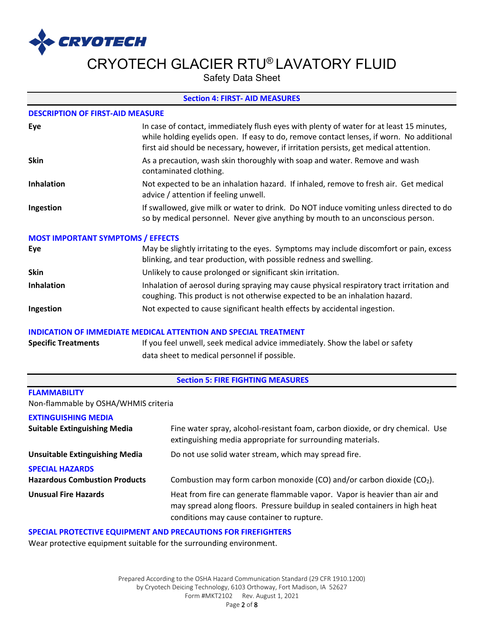

Safety Data Sheet

### **Section 4: FIRST- AID MEASURES**

### **DESCRIPTION OF FIRST-AID MEASURE**

| Eye               | In case of contact, immediately flush eyes with plenty of water for at least 15 minutes,<br>while holding eyelids open. If easy to do, remove contact lenses, if worn. No additional<br>first aid should be necessary, however, if irritation persists, get medical attention. |
|-------------------|--------------------------------------------------------------------------------------------------------------------------------------------------------------------------------------------------------------------------------------------------------------------------------|
| <b>Skin</b>       | As a precaution, wash skin thoroughly with soap and water. Remove and wash<br>contaminated clothing.                                                                                                                                                                           |
| <b>Inhalation</b> | Not expected to be an inhalation hazard. If inhaled, remove to fresh air. Get medical<br>advice / attention if feeling unwell.                                                                                                                                                 |
| Ingestion         | If swallowed, give milk or water to drink. Do NOT induce vomiting unless directed to do<br>so by medical personnel. Never give anything by mouth to an unconscious person.                                                                                                     |

### **MOST IMPORTANT SYMPTOMS / EFFECTS**

| Eye               | May be slightly irritating to the eyes. Symptoms may include discomfort or pain, excess<br>blinking, and tear production, with possible redness and swelling.             |
|-------------------|---------------------------------------------------------------------------------------------------------------------------------------------------------------------------|
| <b>Skin</b>       | Unlikely to cause prolonged or significant skin irritation.                                                                                                               |
| <b>Inhalation</b> | Inhalation of aerosol during spraying may cause physical respiratory tract irritation and<br>coughing. This product is not otherwise expected to be an inhalation hazard. |
| Ingestion         | Not expected to cause significant health effects by accidental ingestion.                                                                                                 |

### **INDICATION OF IMMEDIATE MEDICAL ATTENTION AND SPECIAL TREATMENT**

| <b>Specific Treatments</b> | If you feel unwell, seek medical advice immediately. Show the label or safety |
|----------------------------|-------------------------------------------------------------------------------|
|                            | data sheet to medical personnel if possible.                                  |

### **Section 5: FIRE FIGHTING MEASURES**

## **FLAMMABILITY**

Non-flammable by OSHA/WHMIS criteria

## **EXTINGUISHING MEDIA**

| <b>Suitable Extinguishing Media</b>                            | Fine water spray, alcohol-resistant foam, carbon dioxide, or dry chemical. Use<br>extinguishing media appropriate for surrounding materials.                                                            |
|----------------------------------------------------------------|---------------------------------------------------------------------------------------------------------------------------------------------------------------------------------------------------------|
| <b>Unsuitable Extinguishing Media</b>                          | Do not use solid water stream, which may spread fire.                                                                                                                                                   |
| <b>SPECIAL HAZARDS</b><br><b>Hazardous Combustion Products</b> | Combustion may form carbon monoxide (CO) and/or carbon dioxide ( $CO2$ ).                                                                                                                               |
| <b>Unusual Fire Hazards</b>                                    | Heat from fire can generate flammable vapor. Vapor is heavier than air and<br>may spread along floors. Pressure buildup in sealed containers in high heat<br>conditions may cause container to rupture. |

### **SPECIAL PROTECTIVE EQUIPMENT AND PRECAUTIONS FOR FIREFIGHTERS**

Wear protective equipment suitable for the surrounding environment.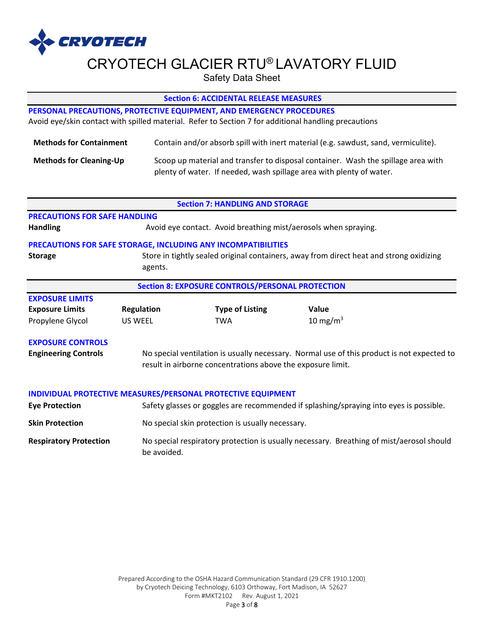

Safety Data Sheet

### **Section 6: ACCIDENTAL RELEASE MEASURES**

## **PERSONAL PRECAUTIONS, PROTECTIVE EQUIPMENT, AND EMERGENCY PROCEDURES**

Avoid eye/skin contact with spilled material. Refer to Section 7 for additional handling precautions

| <b>Methods for Containment</b> | Contain and/or absorb spill with inert material (e.g. sawdust, sand, vermiculite). |
|--------------------------------|------------------------------------------------------------------------------------|
| <b>Methods for Cleaning-Up</b> | Scoop up material and transfer to disposal container. Wash the spillage area with  |
|                                | plenty of water. If needed, wash spillage area with plenty of water.               |

|                                                         |                                                                                                                                                           | <b>Section 7: HANDLING AND STORAGE</b>                               |                                                                                         |  |
|---------------------------------------------------------|-----------------------------------------------------------------------------------------------------------------------------------------------------------|----------------------------------------------------------------------|-----------------------------------------------------------------------------------------|--|
| <b>PRECAUTIONS FOR SAFE HANDLING</b>                    |                                                                                                                                                           |                                                                      |                                                                                         |  |
| <b>Handling</b>                                         |                                                                                                                                                           | Avoid eye contact. Avoid breathing mist/aerosols when spraying.      |                                                                                         |  |
|                                                         |                                                                                                                                                           | <b>PRECAUTIONS FOR SAFE STORAGE, INCLUDING ANY INCOMPATIBILITIES</b> |                                                                                         |  |
| <b>Storage</b>                                          | agents.                                                                                                                                                   |                                                                      | Store in tightly sealed original containers, away from direct heat and strong oxidizing |  |
| <b>Section 8: EXPOSURE CONTROLS/PERSONAL PROTECTION</b> |                                                                                                                                                           |                                                                      |                                                                                         |  |
| <b>EXPOSURE LIMITS</b>                                  |                                                                                                                                                           |                                                                      |                                                                                         |  |
| <b>Exposure Limits</b>                                  | <b>Regulation</b>                                                                                                                                         | <b>Type of Listing</b>                                               | Value                                                                                   |  |
| Propylene Glycol                                        | <b>US WEEL</b>                                                                                                                                            | <b>TWA</b>                                                           | 10 mg/m <sup>3</sup>                                                                    |  |
| <b>EXPOSURE CONTROLS</b><br><b>Engineering Controls</b> | No special ventilation is usually necessary. Normal use of this product is not expected to<br>result in airborne concentrations above the exposure limit. |                                                                      |                                                                                         |  |
| <b>Eye Protection</b>                                   |                                                                                                                                                           | INDIVIDUAL PROTECTIVE MEASURES/PERSONAL PROTECTIVE EQUIPMENT         | Safety glasses or goggles are recommended if splashing/spraying into eyes is possible.  |  |
| <b>Skin Protection</b>                                  |                                                                                                                                                           | No special skin protection is usually necessary.                     |                                                                                         |  |
|                                                         |                                                                                                                                                           |                                                                      |                                                                                         |  |

## **Respiratory Protection** No special respiratory protection is usually necessary. Breathing of mist/aerosol should be avoided.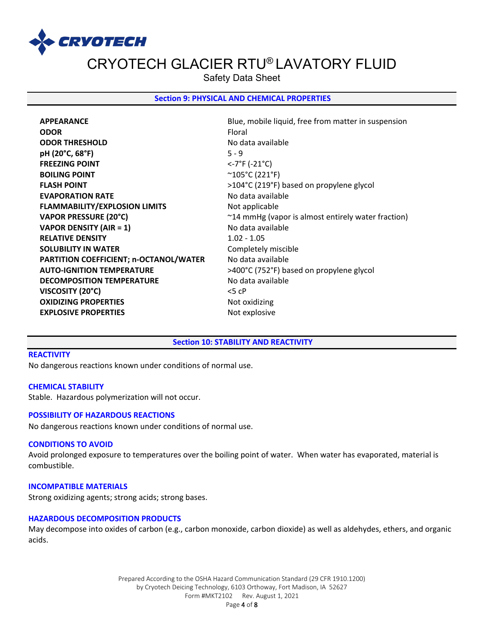

Safety Data Sheet

### **Section 9: PHYSICAL AND CHEMICAL PROPERTIES**

**ODOR** Floral **ODOR THRESHOLD** No data available **pH (20°C, 68°F)** 5 - 9 **FREEZING POINT** <-7°F (-21°C) **BOILING POINT**  $\sim$  105°C (221°F) **FLASH POINT**  $>104^{\circ}C(219^{\circ}F)$  based on propylene glycol **EVAPORATION RATE** No data available **FLAMMABILITY/EXPLOSION LIMITS Not applicable VAPOR DENSITY (AIR = 1)** No data available **RELATIVE DENSITY** 1.02 - 1.05 **SOLUBILITY IN WATER** Completely miscible PARTITION COEFFICIENT; n-OCTANOL/WATER No data available **AUTO-IGNITION TEMPERATURE** >400°C (752°F) based on propylene glycol **DECOMPOSITION TEMPERATURE** No data available **VISCOSITY (20°C)** <5 cP **OXIDIZING PROPERTIES** Not oxidizing **EXPLOSIVE PROPERTIES** Not explosive

**APPEARANCE Blue, mobile liquid, free from matter in suspension Blue, mobile liquid, free from matter in suspension VAPOR PRESSURE (20°C)**  $\sim$  24 mmHg (vapor is almost entirely water fraction)

#### **Section 10: STABILITY AND REACTIVITY**

### **REACTIVITY**

No dangerous reactions known under conditions of normal use.

#### **CHEMICAL STABILITY**

Stable. Hazardous polymerization will not occur.

#### **POSSIBILITY OF HAZARDOUS REACTIONS**

No dangerous reactions known under conditions of normal use.

#### **CONDITIONS TO AVOID**

Avoid prolonged exposure to temperatures over the boiling point of water. When water has evaporated, material is combustible.

### **INCOMPATIBLE MATERIALS**

Strong oxidizing agents; strong acids; strong bases.

### **HAZARDOUS DECOMPOSITION PRODUCTS**

May decompose into oxides of carbon (e.g., carbon monoxide, carbon dioxide) as well as aldehydes, ethers, and organic acids.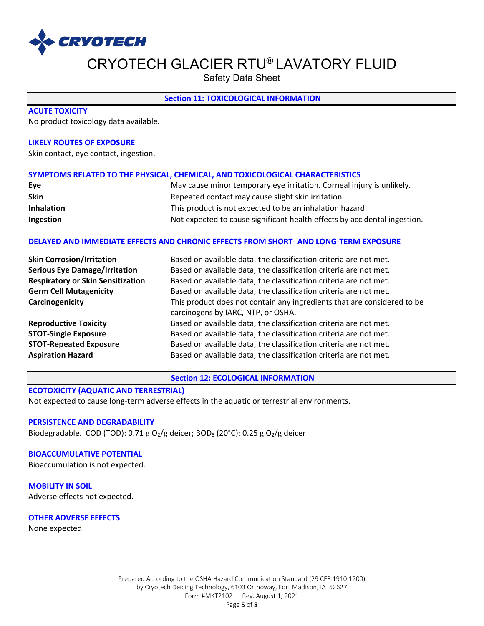

Safety Data Sheet

### **Section 11: TOXICOLOGICAL INFORMATION**

### **ACUTE TOXICITY**

No product toxicology data available.

### **LIKELY ROUTES OF EXPOSURE**

Skin contact, eye contact, ingestion.

### **SYMPTOMS RELATED TO THE PHYSICAL, CHEMICAL, AND TOXICOLOGICAL CHARACTERISTICS**

| Eve               | May cause minor temporary eye irritation. Corneal injury is unlikely.     |
|-------------------|---------------------------------------------------------------------------|
| <b>Skin</b>       | Repeated contact may cause slight skin irritation.                        |
| <b>Inhalation</b> | This product is not expected to be an inhalation hazard.                  |
| Ingestion         | Not expected to cause significant health effects by accidental ingestion. |

## **DELAYED AND IMMEDIATE EFFECTS AND CHRONIC EFFECTS FROM SHORT- AND LONG-TERM EXPOSURE**

| <b>Skin Corrosion/Irritation</b>         | Based on available data, the classification criteria are not met.                                             |
|------------------------------------------|---------------------------------------------------------------------------------------------------------------|
| <b>Serious Eye Damage/Irritation</b>     | Based on available data, the classification criteria are not met.                                             |
| <b>Respiratory or Skin Sensitization</b> | Based on available data, the classification criteria are not met.                                             |
| <b>Germ Cell Mutagenicity</b>            | Based on available data, the classification criteria are not met.                                             |
| Carcinogenicity                          | This product does not contain any ingredients that are considered to be<br>carcinogens by IARC, NTP, or OSHA. |
| <b>Reproductive Toxicity</b>             | Based on available data, the classification criteria are not met.                                             |
| <b>STOT-Single Exposure</b>              | Based on available data, the classification criteria are not met.                                             |
| <b>STOT-Repeated Exposure</b>            | Based on available data, the classification criteria are not met.                                             |
| <b>Aspiration Hazard</b>                 | Based on available data, the classification criteria are not met.                                             |

**Section 12: ECOLOGICAL INFORMATION** 

### **ECOTOXICITY (AQUATIC AND TERRESTRIAL)**

Not expected to cause long-term adverse effects in the aquatic or terrestrial environments.

## **PERSISTENCE AND DEGRADABILITY**

Biodegradable. COD (TOD): 0.71 g  $O_2/g$  deicer; BOD<sub>5</sub> (20°C): 0.25 g  $O_2/g$  deicer

### **BIOACCUMULATIVE POTENTIAL**

Bioaccumulation is not expected.

**MOBILITY IN SOIL** Adverse effects not expected.

**OTHER ADVERSE EFFECTS**

None expected.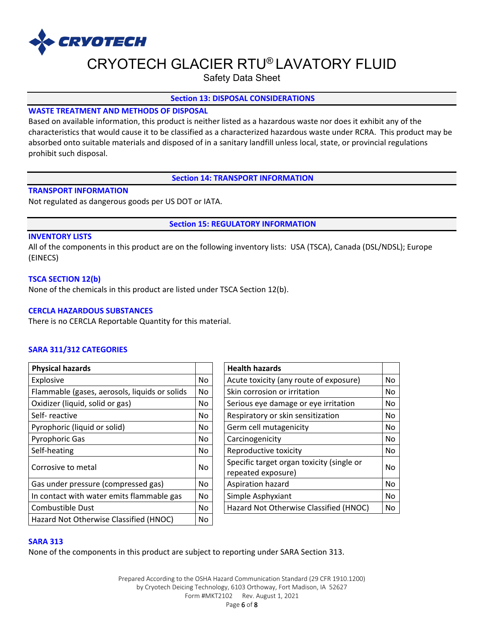

Safety Data Sheet

### **Section 13: DISPOSAL CONSIDERATIONS**

## **WASTE TREATMENT AND METHODS OF DISPOSAL**

Based on available information, this product is neither listed as a hazardous waste nor does it exhibit any of the characteristics that would cause it to be classified as a characterized hazardous waste under RCRA. This product may be absorbed onto suitable materials and disposed of in a sanitary landfill unless local, state, or provincial regulations prohibit such disposal.

### **Section 14: TRANSPORT INFORMATION**

### **TRANSPORT INFORMATION**

Not regulated as dangerous goods per US DOT or IATA.

**Section 15: REGULATORY INFORMATION**

### **INVENTORY LISTS**

All of the components in this product are on the following inventory lists: USA (TSCA), Canada (DSL/NDSL); Europe (EINECS)

### **TSCA SECTION 12(b)**

None of the chemicals in this product are listed under TSCA Section 12(b).

### **CERCLA HAZARDOUS SUBSTANCES**

There is no CERCLA Reportable Quantity for this material.

## **SARA 311/312 CATEGORIES**

| <b>Physical hazards</b>                       |     | <b>Health hazards</b>                                           |    |
|-----------------------------------------------|-----|-----------------------------------------------------------------|----|
| Explosive                                     | No  | Acute toxicity (any route of exposure)                          | No |
| Flammable (gases, aerosols, liquids or solids | No. | Skin corrosion or irritation                                    | No |
| Oxidizer (liquid, solid or gas)               | No. | Serious eye damage or eye irritation                            | No |
| Self-reactive                                 | No. | Respiratory or skin sensitization                               | No |
| Pyrophoric (liquid or solid)                  | No. | Germ cell mutagenicity                                          | No |
| <b>Pyrophoric Gas</b>                         | No. | Carcinogenicity                                                 | No |
| Self-heating                                  | No. | Reproductive toxicity                                           | No |
| Corrosive to metal                            | No. | Specific target organ toxicity (single or<br>repeated exposure) | No |
| Gas under pressure (compressed gas)           | No. | Aspiration hazard                                               | No |
| In contact with water emits flammable gas     | No. | Simple Asphyxiant                                               | No |
| Combustible Dust                              | No. | Hazard Not Otherwise Classified (HNOC)                          | No |
| Hazard Not Otherwise Classified (HNOC)        | No  |                                                                 |    |

| <b>Health hazards</b>                     |     |  |
|-------------------------------------------|-----|--|
| Acute toxicity (any route of exposure)    | No. |  |
| Skin corrosion or irritation              | No  |  |
| Serious eye damage or eye irritation      | No  |  |
| Respiratory or skin sensitization         | No  |  |
| Germ cell mutagenicity                    | No  |  |
| Carcinogenicity                           | No  |  |
| Reproductive toxicity                     | No  |  |
| Specific target organ toxicity (single or | No  |  |
| repeated exposure)                        |     |  |
| Aspiration hazard                         | No  |  |
| Simple Asphyxiant                         | No  |  |
| Hazard Not Otherwise Classified (HNOC)    | No  |  |

#### **SARA 313**

None of the components in this product are subject to reporting under SARA Section 313.

Prepared According to the OSHA Hazard Communication Standard (29 CFR 1910.1200) by Cryotech Deicing Technology, 6103 Orthoway, Fort Madison, IA 52627 Form #MKT2102 Rev. August 1, 2021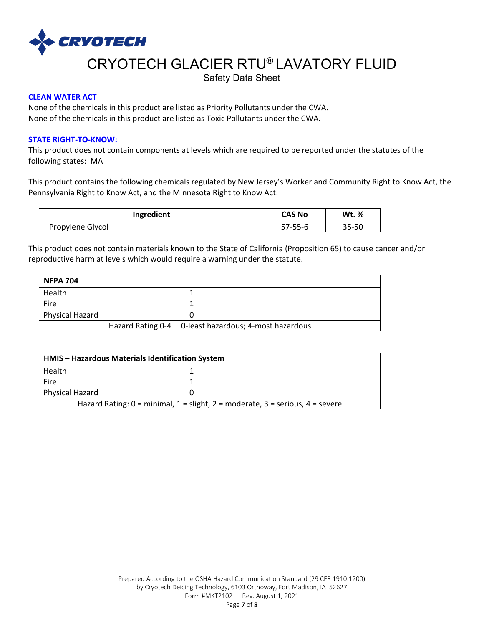

Safety Data Sheet

## **CLEAN WATER ACT**

None of the chemicals in this product are listed as Priority Pollutants under the CWA. None of the chemicals in this product are listed as Toxic Pollutants under the CWA.

### **STATE RIGHT-TO-KNOW:**

This product does not contain components at levels which are required to be reported under the statutes of the following states: MA

This product contains the following chemicals regulated by New Jersey's Worker and Community Right to Know Act, the Pennsylvania Right to Know Act, and the Minnesota Right to Know Act:

| Ingredient       | <b>CAS No</b> | <b>Wt.</b> % |
|------------------|---------------|--------------|
| Propylene Glycol | 57-55-6       | 35-50        |

This product does not contain materials known to the State of California (Proposition 65) to cause cancer and/or reproductive harm at levels which would require a warning under the statute.

| <b>NFPA 704</b> |  |                                                       |  |
|-----------------|--|-------------------------------------------------------|--|
| Health          |  |                                                       |  |
| Fire            |  |                                                       |  |
| Physical Hazard |  |                                                       |  |
|                 |  | Hazard Rating 0-4 0-least hazardous; 4-most hazardous |  |

| HMIS – Hazardous Materials Identification System                                                                              |  |  |  |  |  |
|-------------------------------------------------------------------------------------------------------------------------------|--|--|--|--|--|
| Health                                                                                                                        |  |  |  |  |  |
| Fire                                                                                                                          |  |  |  |  |  |
| <b>Physical Hazard</b>                                                                                                        |  |  |  |  |  |
| Hazard Rating: $0 = \text{minimal}$ , $1 = \text{slight}$ , $2 = \text{moderate}$ , $3 = \text{series}$ , $4 = \text{severe}$ |  |  |  |  |  |